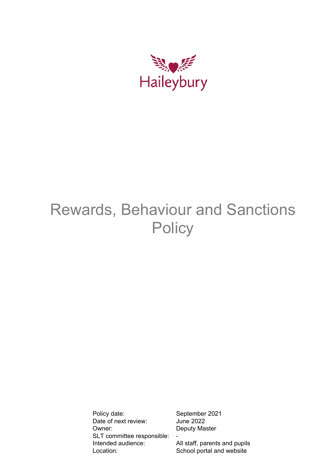

# Rewards, Behaviour and Sanctions **Policy**

Policy date: September 2021<br>Date of next review: June 2022 Date of next review: Owner: Deputy Master SLT committee responsible: Intended audience: All staff, parents and pupils Location: School portal and website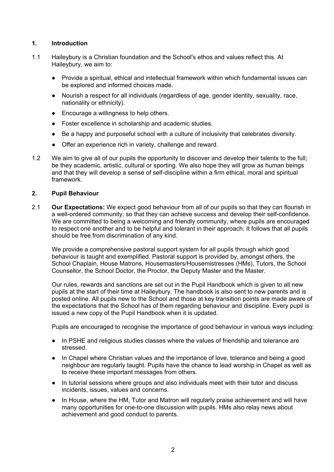## **1. Introduction**

- 1.1 Haileybury is a Christian foundation and the School's ethos and values reflect this. At Haileybury, we aim to:
	- Provide a spiritual, ethical and intellectual framework within which fundamental issues can be explored and informed choices made.
	- Nourish a respect for all individuals (regardless of age, gender identity, sexuality, race, nationality or ethnicity).
	- Encourage a willingness to help others.
	- Foster excellence in scholarship and academic studies.
	- Be a happy and purposeful school with a culture of inclusivity that celebrates diversity.
	- Offer an experience rich in variety, challenge and reward.
- 1.2 We aim to give all of our pupils the opportunity to discover and develop their talents to the full; be they academic, artistic, cultural or sporting. We also hope they will grow as human beings and that they will develop a sense of self-discipline within a firm ethical, moral and spiritual framework.

## **2. Pupil Behaviour**

2.1 **Our Expectations:** We expect good behaviour from all of our pupils so that they can flourish in a well-ordered community; so that they can achieve success and develop their self-confidence. We are committed to being a welcoming and friendly community, where pupils are encouraged to respect one another and to be helpful and tolerant in their approach. It follows that all pupils should be free from discrimination of any kind.

We provide a comprehensive pastoral support system for all pupils through which good behaviour is taught and exemplified. Pastoral support is provided by, amongst others, the School Chaplain, House Matrons, Housemasters/Housemistresses (HMs), Tutors, the School Counsellor, the School Doctor, the Proctor, the Deputy Master and the Master.

Our rules, rewards and sanctions are set out in the Pupil Handbook which is given to all new pupils at the start of their time at Haileybury. The handbook is also sent to new parents and is posted online. All pupils new to the School and those at key transition points are made aware of the expectations that the School has of them regarding behaviour and discipline. Every pupil is issued a new copy of the Pupil Handbook when it is updated.

Pupils are encouraged to recognise the importance of good behaviour in various ways including:

- In PSHE and religious studies classes where the values of friendship and tolerance are stressed.
- In Chapel where Christian values and the importance of love, tolerance and being a good neighbour are regularly taught. Pupils have the chance to lead worship in Chapel as well as to receive these important messages from others.
- In tutorial sessions where groups and also individuals meet with their tutor and discuss incidents, issues, values and concerns.
- In House, where the HM, Tutor and Matron will regularly praise achievement and will have many opportunities for one-to-one discussion with pupils. HMs also relay news about achievement and good conduct to parents.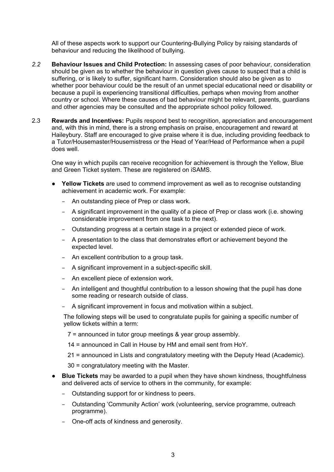All of these aspects work to support our Countering-Bullying Policy by raising standards of behaviour and reducing the likelihood of bullying.

- *2.2* **Behaviour Issues and Child Protection:** In assessing cases of poor behaviour, consideration should be given as to whether the behaviour in question gives cause to suspect that a child is suffering, or is likely to suffer, significant harm. Consideration should also be given as to whether poor behaviour could be the result of an unmet special educational need or disability or because a pupil is experiencing transitional difficulties, perhaps when moving from another country or school. Where these causes of bad behaviour might be relevant, parents, guardians and other agencies may be consulted and the appropriate school policy followed.
- 2.3 **Rewards and Incentives:** Pupils respond best to recognition, appreciation and encouragement and, with this in mind, there is a strong emphasis on praise, encouragement and reward at Haileybury. Staff are encouraged to give praise where it is due, including providing feedback to a Tutor/Housemaster/Housemistress or the Head of Year/Head of Performance when a pupil does well.

One way in which pupils can receive recognition for achievement is through the Yellow, Blue and Green Ticket system. These are registered on iSAMS.

- **Yellow Tickets** are used to commend improvement as well as to recognise outstanding achievement in academic work. For example:
	- An outstanding piece of Prep or class work.
	- A significant improvement in the quality of a piece of Prep or class work (i.e. showing considerable improvement from one task to the next).
	- Outstanding progress at a certain stage in a project or extended piece of work.
	- A presentation to the class that demonstrates effort or achievement beyond the expected level.
	- An excellent contribution to a group task.
	- A significant improvement in a subject-specific skill.
	- An excellent piece of extension work.
	- An intelligent and thoughtful contribution to a lesson showing that the pupil has done some reading or research outside of class.
	- A significant improvement in focus and motivation within a subject.

The following steps will be used to congratulate pupils for gaining a specific number of yellow tickets within a term:

- 7 = announced in tutor group meetings & year group assembly.
- 14 = announced in Call in House by HM and email sent from HoY.
- 21 = announced in Lists and congratulatory meeting with the Deputy Head (Academic).
- 30 = congratulatory meeting with the Master.
- **Blue Tickets** may be awarded to a pupil when they have shown kindness, thoughtfulness and delivered acts of service to others in the community, for example:
	- Outstanding support for or kindness to peers.
	- Outstanding 'Community Action' work (volunteering, service programme, outreach programme).
	- One-off acts of kindness and generosity.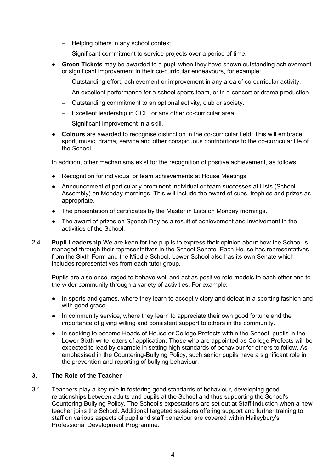- Helping others in any school context.
- Significant commitment to service projects over a period of time.
- **Green Tickets** may be awarded to a pupil when they have shown outstanding achievement or significant improvement in their co-curricular endeavours, for example:
	- Outstanding effort, achievement or improvement in any area of co-curricular activity.
	- An excellent performance for a school sports team, or in a concert or drama production.
	- Outstanding commitment to an optional activity, club or society.
	- Excellent leadership in CCF, or any other co-curricular area.
	- Significant improvement in a skill.
- **Colours** are awarded to recognise distinction in the co-curricular field. This will embrace sport, music, drama, service and other conspicuous contributions to the co-curricular life of the School.

In addition, other mechanisms exist for the recognition of positive achievement, as follows:

- Recognition for individual or team achievements at House Meetings.
- Announcement of particularly prominent individual or team successes at Lists (School Assembly) on Monday mornings. This will include the award of cups, trophies and prizes as appropriate.
- The presentation of certificates by the Master in Lists on Monday mornings.
- The award of prizes on Speech Day as a result of achievement and involvement in the activities of the School.
- 2.4 **Pupil Leadership** We are keen for the pupils to express their opinion about how the School is managed through their representatives in the School Senate. Each House has representatives from the Sixth Form and the Middle School. Lower School also has its own Senate which includes representatives from each tutor group.

Pupils are also encouraged to behave well and act as positive role models to each other and to the wider community through a variety of activities. For example:

- In sports and games, where they learn to accept victory and defeat in a sporting fashion and with good grace.
- In community service, where they learn to appreciate their own good fortune and the importance of giving willing and consistent support to others in the community.
- In seeking to become Heads of House or College Prefects within the School, pupils in the Lower Sixth write letters of application. Those who are appointed as College Prefects will be expected to lead by example in setting high standards of behaviour for others to follow. As emphasised in the Countering-Bullying Policy, such senior pupils have a significant role in the prevention and reporting of bullying behaviour.

# **3. The Role of the Teacher**

3.1 Teachers play a key role in fostering good standards of behaviour, developing good relationships between adults and pupils at the School and thus supporting the School's Countering-Bullying Policy. The School's expectations are set out at Staff Induction when a new teacher joins the School. Additional targeted sessions offering support and further training to staff on various aspects of pupil and staff behaviour are covered within Haileybury's Professional Development Programme.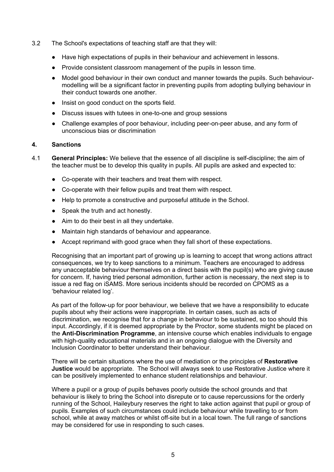- 3.2 The School's expectations of teaching staff are that they will:
	- Have high expectations of pupils in their behaviour and achievement in lessons.
	- Provide consistent classroom management of the pupils in lesson time.
	- Model good behaviour in their own conduct and manner towards the pupils. Such behaviourmodelling will be a significant factor in preventing pupils from adopting bullying behaviour in their conduct towards one another.
	- Insist on good conduct on the sports field.
	- Discuss issues with tutees in one-to-one and group sessions
	- Challenge examples of poor behaviour, including peer-on-peer abuse, and any form of unconscious bias or discrimination

#### **4. Sanctions**

- 4.1 **General Principles:** We believe that the essence of all discipline is self-discipline; the aim of the teacher must be to develop this quality in pupils. All pupils are asked and expected to:
	- Co-operate with their teachers and treat them with respect.
	- Co-operate with their fellow pupils and treat them with respect.
	- Help to promote a constructive and purposeful attitude in the School.
	- Speak the truth and act honestly.
	- Aim to do their best in all they undertake.
	- Maintain high standards of behaviour and appearance.
	- Accept reprimand with good grace when they fall short of these expectations.

Recognising that an important part of growing up is learning to accept that wrong actions attract consequences, we try to keep sanctions to a minimum. Teachers are encouraged to address any unacceptable behaviour themselves on a direct basis with the pupil(s) who are giving cause for concern. If, having tried personal admonition, further action is necessary, the next step is to issue a red flag on iSAMS. More serious incidents should be recorded on CPOMS as a 'behaviour related log'.

As part of the follow-up for poor behaviour, we believe that we have a responsibility to educate pupils about why their actions were inappropriate. In certain cases, such as acts of discrimination, we recognise that for a change in behaviour to be sustained, so too should this input. Accordingly, if it is deemed appropriate by the Proctor, some students might be placed on the **Anti-Discrimination Programme**, an intensive course which enables individuals to engage with high-quality educational materials and in an ongoing dialogue with the Diversity and Inclusion Coordinator to better understand their behaviour.

There will be certain situations where the use of mediation or the principles of **Restorative Justice** would be appropriate. The School will always seek to use Restorative Justice where it can be positively implemented to enhance student relationships and behaviour.

Where a pupil or a group of pupils behaves poorly outside the school grounds and that behaviour is likely to bring the School into disrepute or to cause repercussions for the orderly running of the School, Haileybury reserves the right to take action against that pupil or group of pupils. Examples of such circumstances could include behaviour while travelling to or from school, while at away matches or whilst off-site but in a local town. The full range of sanctions may be considered for use in responding to such cases.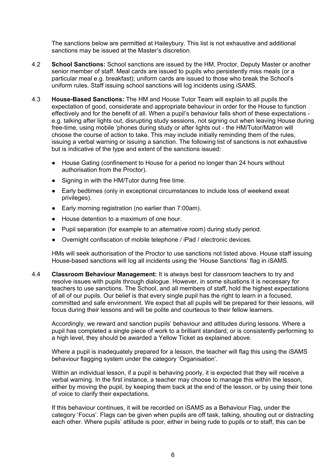The sanctions below are permitted at Haileybury. This list is not exhaustive and additional sanctions may be issued at the Master's discretion.

- 4.2 **School Sanctions:** School sanctions are issued by the HM, Proctor, Deputy Master or another senior member of staff. Meal cards are issued to pupils who persistently miss meals (or a particular meal e.g. breakfast); uniform cards are issued to those who break the School's uniform rules. Staff issuing school sanctions will log incidents using iSAMS.
- 4.3 **House-Based Sanctions:** The HM and House Tutor Team will explain to all pupils the expectation of good, considerate and appropriate behaviour in order for the House to function effectively and for the benefit of all. When a pupil's behaviour falls short of these expectations e.g. talking after lights out, disrupting study sessions, not signing out when leaving House during free-time, using mobile 'phones during study or after lights out - the HM/Tutor/Matron will choose the course of action to take. This may include initially reminding them of the rules, issuing a verbal warning or issuing a sanction. The following list of sanctions is not exhaustive but is indicative of the type and extent of the sanctions issued:
	- House Gating (confinement to House for a period no longer than 24 hours without authorisation from the Proctor).
	- Signing in with the HM/Tutor during free time.
	- Early bedtimes (only in exceptional circumstances to include loss of weekend exeat privileges).
	- Early morning registration (no earlier than 7:00am).
	- House detention to a maximum of one hour.
	- Pupil separation (for example to an alternative room) during study period.
	- Overnight confiscation of mobile telephone / iPad / electronic devices.

HMs will seek authorisation of the Proctor to use sanctions not listed above. House staff issuing House-based sanctions will log all incidents using the 'House Sanctions' flag in iSAMS.

4.4 **Classroom Behaviour Management:** It is always best for classroom teachers to try and resolve issues with pupils through dialogue. However, in some situations it is necessary for teachers to use sanctions. The School, and all members of staff, hold the highest expectations of all of our pupils. Our belief is that every single pupil has the right to learn in a focused, committed and safe environment. We expect that all pupils will be prepared for their lessons, will focus during their lessons and will be polite and courteous to their fellow learners.

Accordingly, we reward and sanction pupils' behaviour and attitudes during lessons. Where a pupil has completed a single piece of work to a brilliant standard, or is consistently performing to a high level, they should be awarded a Yellow Ticket as explained above.

Where a pupil is inadequately prepared for a lesson, the teacher will flag this using the iSAMS behaviour flagging system under the category 'Organisation'.

Within an individual lesson, if a pupil is behaving poorly, it is expected that they will receive a verbal warning. In the first instance, a teacher may choose to manage this within the lesson, either by moving the pupil, by keeping them back at the end of the lesson, or by using their tone of voice to clarify their expectations.

If this behaviour continues, it will be recorded on iSAMS as a Behaviour Flag, under the category 'Focus'. Flags can be given when pupils are off task, talking, shouting out or distracting each other. Where pupils' attitude is poor, either in being rude to pupils or to staff, this can be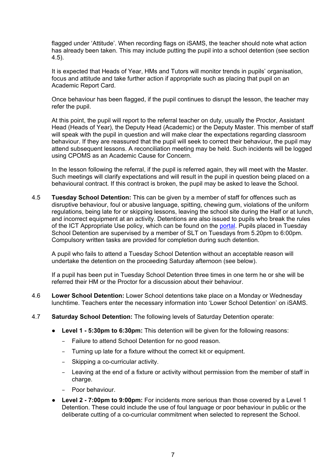flagged under 'Attitude'. When recording flags on iSAMS, the teacher should note what action has already been taken. This may include putting the pupil into a school detention (see section 4.5).

It is expected that Heads of Year, HMs and Tutors will monitor trends in pupils' organisation, focus and attitude and take further action if appropriate such as placing that pupil on an Academic Report Card.

Once behaviour has been flagged, if the pupil continues to disrupt the lesson, the teacher may refer the pupil.

At this point, the pupil will report to the referral teacher on duty, usually the Proctor, Assistant Head (Heads of Year), the Deputy Head (Academic) or the Deputy Master. This member of staff will speak with the pupil in question and will make clear the expectations regarding classroom behaviour. If they are reassured that the pupil will seek to correct their behaviour, the pupil may attend subsequent lessons. A reconciliation meeting may be held. Such incidents will be logged using CPOMS as an Academic Cause for Concern.

In the lesson following the referral, if the pupil is referred again, they will meet with the Master. Such meetings will clarify expectations and will result in the pupil in question being placed on a behavioural contract. If this contract is broken, the pupil may be asked to leave the School.

4.5 **Tuesday School Detention:** This can be given by a member of staff for offences such as disruptive behaviour, foul or abusive language, spitting, chewing gum, violations of the uniform regulations, being late for or skipping lessons, leaving the school site during the Half or at lunch, and incorrect equipment at an activity. Detentions are also issued to pupils who break the rules of the ICT Appropriate Use policy, which can be found on the [portal.](https://portal.haileybury.com/showme/policies) Pupils placed in Tuesday School Detention are supervised by a member of SLT on Tuesdays from 5.20pm to 6:00pm. Compulsory written tasks are provided for completion during such detention.

A pupil who fails to attend a Tuesday School Detention without an acceptable reason will undertake the detention on the proceeding Saturday afternoon (see below).

If a pupil has been put in Tuesday School Detention three times in one term he or she will be referred their HM or the Proctor for a discussion about their behaviour.

- 4.6 **Lower School Detention:** Lower School detentions take place on a Monday or Wednesday lunchtime. Teachers enter the necessary information into 'Lower School Detention' on iSAMS.
- 4.7 **Saturday School Detention:** The following levels of Saturday Detention operate:
	- **Level 1 - 5:30pm to 6:30pm:** This detention will be given for the following reasons:
		- Failure to attend School Detention for no good reason.
		- Turning up late for a fixture without the correct kit or equipment.
		- Skipping a co-curricular activity.
		- Leaving at the end of a fixture or activity without permission from the member of staff in charge.
		- Poor behaviour.
	- **Level 2 - 7:00pm to 9:00pm:** For incidents more serious than those covered by a Level 1 Detention. These could include the use of foul language or poor behaviour in public or the deliberate cutting of a co-curricular commitment when selected to represent the School.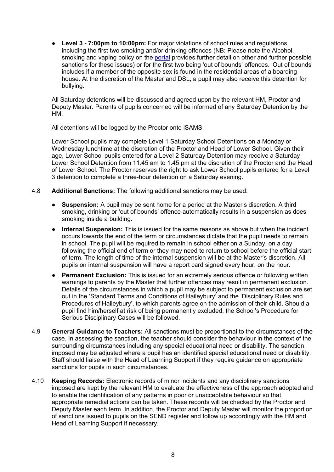● **Level 3 - 7:00pm to 10:00pm:** For major violations of school rules and regulations, including the first two smoking and/or drinking offences (NB: Please note the Alcohol, smoking and vaping policy on the [portal](https://portal.haileybury.com/showme/policies) provides further detail on other and further possible sanctions for these issues) or for the first two being 'out of bounds' offences. 'Out of bounds' includes if a member of the opposite sex is found in the residential areas of a boarding house. At the discretion of the Master and DSL, a pupil may also receive this detention for bullying.

All Saturday detentions will be discussed and agreed upon by the relevant HM, Proctor and Deputy Master. Parents of pupils concerned will be informed of any Saturday Detention by the HM.

All detentions will be logged by the Proctor onto iSAMS.

Lower School pupils may complete Level 1 Saturday School Detentions on a Monday or Wednesday lunchtime at the discretion of the Proctor and Head of Lower School. Given their age, Lower School pupils entered for a Level 2 Saturday Detention may receive a Saturday Lower School Detention from 11.45 am to 1.45 pm at the discretion of the Proctor and the Head of Lower School. The Proctor reserves the right to ask Lower School pupils entered for a Level 3 detention to complete a three-hour detention on a Saturday evening.

- 4.8 **Additional Sanctions:** The following additional sanctions may be used:
	- **Suspension:** A pupil may be sent home for a period at the Master's discretion. A third smoking, drinking or 'out of bounds' offence automatically results in a suspension as does smoking inside a building.
	- **Internal Suspension:** This is issued for the same reasons as above but when the incident occurs towards the end of the term or circumstances dictate that the pupil needs to remain in school. The pupil will be required to remain in school either on a Sunday, on a day following the official end of term or they may need to return to school before the official start of term. The length of time of the internal suspension will be at the Master's discretion. All pupils on internal suspension will have a report card signed every hour, on the hour.
	- **Permanent Exclusion:** This is issued for an extremely serious offence or following written warnings to parents by the Master that further offences may result in permanent exclusion. Details of the circumstances in which a pupil may be subject to permanent exclusion are set out in the 'Standard Terms and Conditions of Haileybury' and the 'Disciplinary Rules and Procedures of Haileybury', to which parents agree on the admission of their child. Should a pupil find him/herself at risk of being permanently excluded, the School's Procedure for Serious Disciplinary Cases will be followed.
- 4.9 **General Guidance to Teachers:** All sanctions must be proportional to the circumstances of the case. In assessing the sanction, the teacher should consider the behaviour in the context of the surrounding circumstances including any special educational need or disability. The sanction imposed may be adjusted where a pupil has an identified special educational need or disability. Staff should liaise with the Head of Learning Support if they require guidance on appropriate sanctions for pupils in such circumstances.
- 4.10 **Keeping Records:** Electronic records of minor incidents and any disciplinary sanctions imposed are kept by the relevant HM to evaluate the effectiveness of the approach adopted and to enable the identification of any patterns in poor or unacceptable behaviour so that appropriate remedial actions can be taken. These records will be checked by the Proctor and Deputy Master each term. In addition, the Proctor and Deputy Master will monitor the proportion of sanctions issued to pupils on the SEND register and follow up accordingly with the HM and Head of Learning Support if necessary.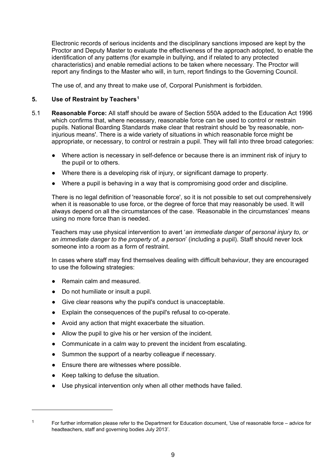Electronic records of serious incidents and the disciplinary sanctions imposed are kept by the Proctor and Deputy Master to evaluate the effectiveness of the approach adopted, to enable the identification of any patterns (for example in bullying, and if related to any protected characteristics) and enable remedial actions to be taken where necessary. The Proctor will report any findings to the Master who will, in turn, report findings to the Governing Council.

The use of, and any threat to make use of, Corporal Punishment is forbidden.

# **5. Use of Restraint by Teachers[1](#page-8-0)**

- 5.1 **Reasonable Force:** All staff should be aware of Section 550A added to the Education Act 1996 which confirms that, where necessary, reasonable force can be used to control or restrain pupils. National Boarding Standards make clear that restraint should be 'by reasonable, noninjurious means'. There is a wide variety of situations in which reasonable force might be appropriate, or necessary, to control or restrain a pupil. They will fall into three broad categories:
	- Where action is necessary in self-defence or because there is an imminent risk of injury to the pupil or to others.
	- Where there is a developing risk of injury, or significant damage to property.
	- Where a pupil is behaving in a way that is compromising good order and discipline.

There is no legal definition of 'reasonable force', so it is not possible to set out comprehensively when it is reasonable to use force, or the degree of force that may reasonably be used. It will always depend on all the circumstances of the case. 'Reasonable in the circumstances' means using no more force than is needed.

Teachers may use physical intervention to avert '*an immediate danger of personal injury to, or an immediate danger to the property of, a person*' (including a pupil). Staff should never lock someone into a room as a form of restraint.

In cases where staff may find themselves dealing with difficult behaviour, they are encouraged to use the following strategies:

- Remain calm and measured.
- Do not humiliate or insult a pupil.
- Give clear reasons why the pupil's conduct is unacceptable.
- Explain the consequences of the pupil's refusal to co-operate.
- Avoid any action that might exacerbate the situation.
- Allow the pupil to give his or her version of the incident.
- Communicate in a calm way to prevent the incident from escalating.
- Summon the support of a nearby colleague if necessary.
- Ensure there are witnesses where possible.
- Keep talking to defuse the situation.

 $\overline{a}$ 

● Use physical intervention only when all other methods have failed.

<span id="page-8-0"></span><sup>&</sup>lt;sup>1</sup> For further information please refer to the Department for Education document. 'Use of reasonable force – advice for headteachers, staff and governing bodies July 2013'.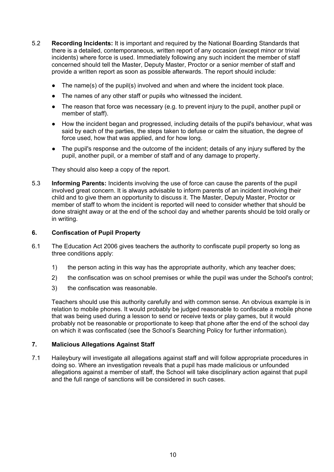- 5.2 **Recording Incidents:** It is important and required by the National Boarding Standards that there is a detailed, contemporaneous, written report of any occasion (except minor or trivial incidents) where force is used. Immediately following any such incident the member of staff concerned should tell the Master, Deputy Master, Proctor or a senior member of staff and provide a written report as soon as possible afterwards. The report should include:
	- The name(s) of the pupil(s) involved and when and where the incident took place.
	- The names of any other staff or pupils who witnessed the incident.
	- The reason that force was necessary (e.g. to prevent injury to the pupil, another pupil or member of staff).
	- How the incident began and progressed, including details of the pupil's behaviour, what was said by each of the parties, the steps taken to defuse or calm the situation, the degree of force used, how that was applied, and for how long.
	- The pupil's response and the outcome of the incident; details of any injury suffered by the pupil, another pupil, or a member of staff and of any damage to property.

They should also keep a copy of the report.

5.3 **Informing Parents:** Incidents involving the use of force can cause the parents of the pupil involved great concern. It is always advisable to inform parents of an incident involving their child and to give them an opportunity to discuss it. The Master, Deputy Master, Proctor or member of staff to whom the incident is reported will need to consider whether that should be done straight away or at the end of the school day and whether parents should be told orally or in writing.

#### **6. Confiscation of Pupil Property**

- 6.1 The Education Act 2006 gives teachers the authority to confiscate pupil property so long as three conditions apply:
	- 1) the person acting in this way has the appropriate authority, which any teacher does;
	- 2) the confiscation was on school premises or while the pupil was under the School's control;
	- 3) the confiscation was reasonable.

Teachers should use this authority carefully and with common sense. An obvious example is in relation to mobile phones. It would probably be judged reasonable to confiscate a mobile phone that was being used during a lesson to send or receive texts or play games, but it would probably not be reasonable or proportionate to keep that phone after the end of the school day on which it was confiscated (see the School's Searching Policy for further information)*.*

#### **7. Malicious Allegations Against Staff**

7.1 Haileybury will investigate all allegations against staff and will follow appropriate procedures in doing so. Where an investigation reveals that a pupil has made malicious or unfounded allegations against a member of staff, the School will take disciplinary action against that pupil and the full range of sanctions will be considered in such cases.